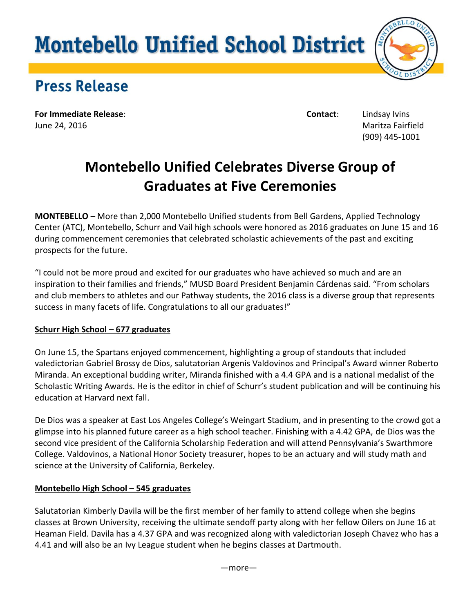# **Montebello Unified School District**



# Press Release

**For Immediate Release**: **Contact**: Lindsay Ivins June 24, 2016 Maritza Fairfield

(909) 445-1001

# **Montebello Unified Celebrates Diverse Group of Graduates at Five Ceremonies**

**MONTEBELLO** *–* More than 2,000 Montebello Unified students from Bell Gardens, Applied Technology Center (ATC), Montebello, Schurr and Vail high schools were honored as 2016 graduates on June 15 and 16 during commencement ceremonies that celebrated scholastic achievements of the past and exciting prospects for the future.

"I could not be more proud and excited for our graduates who have achieved so much and are an inspiration to their families and friends," MUSD Board President Benjamin Cárdenas said. "From scholars and club members to athletes and our Pathway students, the 2016 class is a diverse group that represents success in many facets of life. Congratulations to all our graduates!"

# **Schurr High School – 677 graduates**

On June 15, the Spartans enjoyed commencement, highlighting a group of standouts that included valedictorian Gabriel Brossy de Dios, salutatorian Argenis Valdovinos and Principal's Award winner Roberto Miranda. An exceptional budding writer, Miranda finished with a 4.4 GPA and is a national medalist of the Scholastic Writing Awards. He is the editor in chief of Schurr's student publication and will be continuing his education at Harvard next fall.

De Dios was a speaker at East Los Angeles College's Weingart Stadium, and in presenting to the crowd got a glimpse into his planned future career as a high school teacher. Finishing with a 4.42 GPA, de Dios was the second vice president of the California Scholarship Federation and will attend Pennsylvania's Swarthmore College. Valdovinos, a National Honor Society treasurer, hopes to be an actuary and will study math and science at the University of California, Berkeley.

# **Montebello High School – 545 graduates**

Salutatorian Kimberly Davila will be the first member of her family to attend college when she begins classes at Brown University, receiving the ultimate sendoff party along with her fellow Oilers on June 16 at Heaman Field. Davila has a 4.37 GPA and was recognized along with valedictorian Joseph Chavez who has a 4.41 and will also be an Ivy League student when he begins classes at Dartmouth.